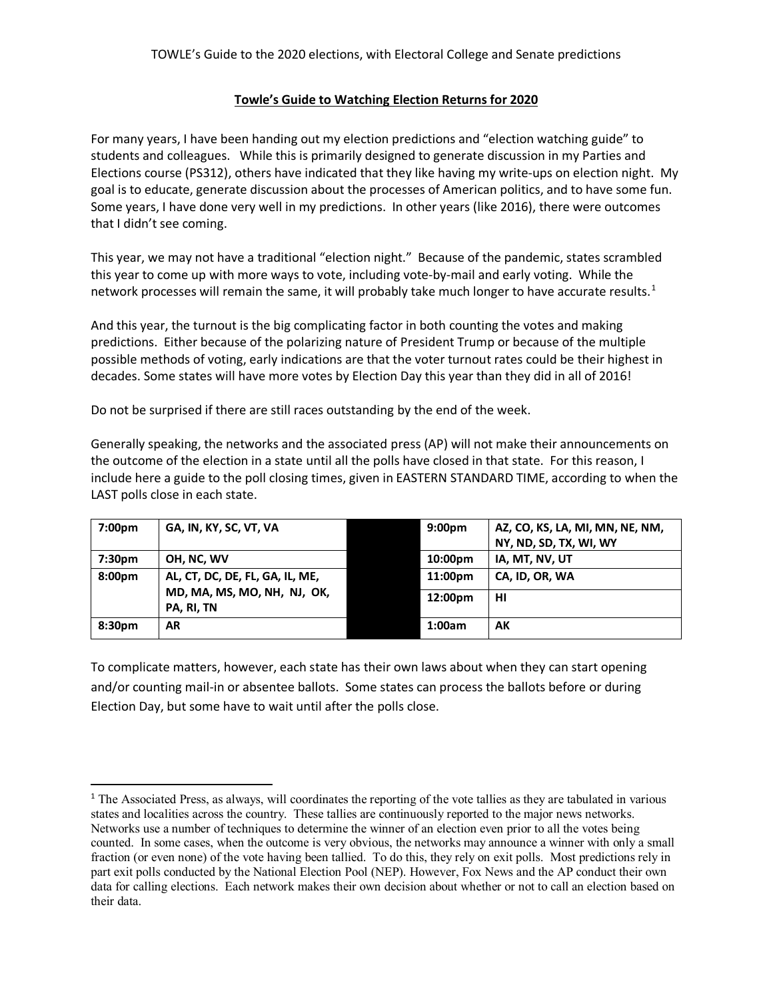#### **Towle's Guide to Watching Election Returns for 2020**

For many years, I have been handing out my election predictions and "election watching guide" to students and colleagues. While this is primarily designed to generate discussion in my Parties and Elections course (PS312), others have indicated that they like having my write-ups on election night. My goal is to educate, generate discussion about the processes of American politics, and to have some fun. Some years, I have done very well in my predictions. In other years (like 2016), there were outcomes that I didn't see coming.

This year, we may not have a traditional "election night." Because of the pandemic, states scrambled this year to come up with more ways to vote, including vote-by-mail and early voting. While the network processes will remain the same, it will probably take much longer to have accurate results.<sup>[1](#page-0-0)</sup>

And this year, the turnout is the big complicating factor in both counting the votes and making predictions. Either because of the polarizing nature of President Trump or because of the multiple possible methods of voting, early indications are that the voter turnout rates could be their highest in decades. Some states will have more votes by Election Day this year than they did in all of 2016!

Do not be surprised if there are still races outstanding by the end of the week.

Generally speaking, the networks and the associated press (AP) will not make their announcements on the outcome of the election in a state until all the polls have closed in that state. For this reason, I include here a guide to the poll closing times, given in EASTERN STANDARD TIME, according to when the LAST polls close in each state.

| 7:00 <sub>pm</sub> | GA, IN, KY, SC, VT, VA                                                       | 9:00 <sub>pm</sub> | AZ, CO, KS, LA, MI, MN, NE, NM, |
|--------------------|------------------------------------------------------------------------------|--------------------|---------------------------------|
|                    |                                                                              |                    | NY, ND, SD, TX, WI, WY          |
| 7:30 <sub>pm</sub> | OH, NC, WV                                                                   | 10:00pm            | IA, MT, NV, UT                  |
| 8:00 <sub>pm</sub> | AL, CT, DC, DE, FL, GA, IL, ME,<br>MD, MA, MS, MO, NH, NJ, OK,<br>PA, RI, TN | 11:00pm            | CA, ID, OR, WA                  |
|                    |                                                                              | 12:00pm            | HI                              |
| 8:30pm             | AR                                                                           | 1:00am             | АK                              |

To complicate matters, however, each state has their own laws about when they can start opening and/or counting mail-in or absentee ballots. Some states can process the ballots before or during Election Day, but some have to wait until after the polls close.

<span id="page-0-0"></span><sup>&</sup>lt;sup>1</sup> The Associated Press, as always, will coordinates the reporting of the vote tallies as they are tabulated in various states and localities across the country. These tallies are continuously reported to the major news networks. Networks use a number of techniques to determine the winner of an election even prior to all the votes being counted. In some cases, when the outcome is very obvious, the networks may announce a winner with only a small fraction (or even none) of the vote having been tallied. To do this, they rely on exit polls. Most predictions rely in part exit polls conducted by the National Election Pool (NEP). However, Fox News and the AP conduct their own data for calling elections. Each network makes their own decision about whether or not to call an election based on their data.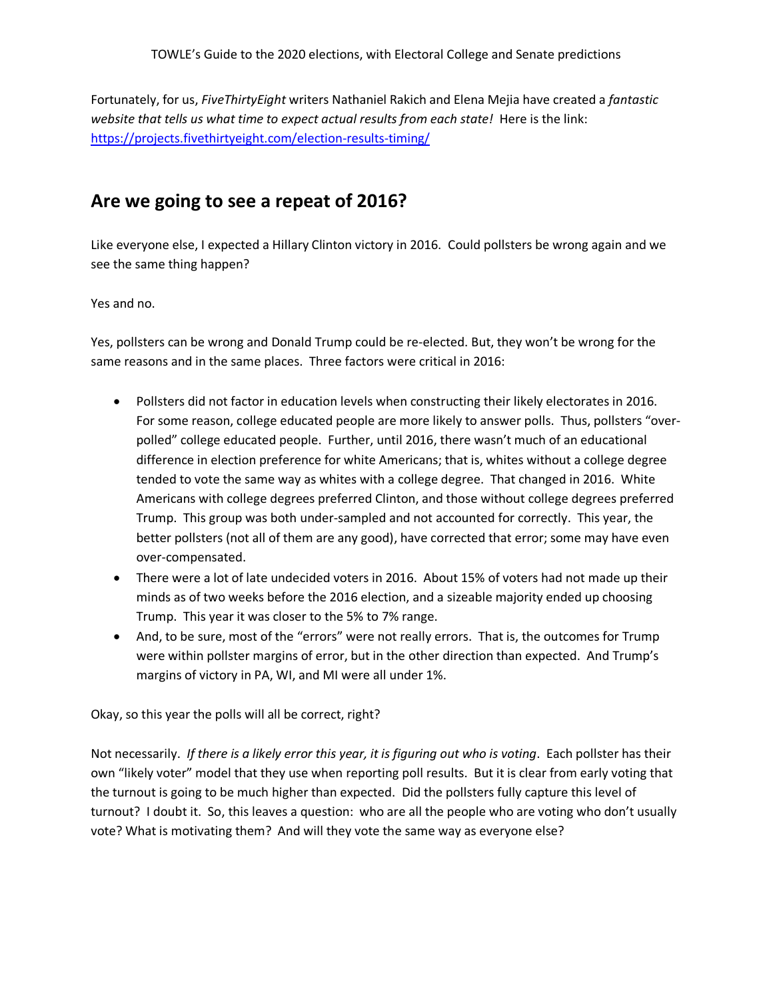Fortunately, for us, *FiveThirtyEight* writers Nathaniel Rakich and Elena Mejia have created a *fantastic website that tells us what time to expect actual results from each state!* Here is the link: <https://projects.fivethirtyeight.com/election-results-timing/>

## **Are we going to see a repeat of 2016?**

Like everyone else, I expected a Hillary Clinton victory in 2016. Could pollsters be wrong again and we see the same thing happen?

Yes and no.

Yes, pollsters can be wrong and Donald Trump could be re-elected. But, they won't be wrong for the same reasons and in the same places. Three factors were critical in 2016:

- Pollsters did not factor in education levels when constructing their likely electorates in 2016. For some reason, college educated people are more likely to answer polls. Thus, pollsters "overpolled" college educated people. Further, until 2016, there wasn't much of an educational difference in election preference for white Americans; that is, whites without a college degree tended to vote the same way as whites with a college degree. That changed in 2016. White Americans with college degrees preferred Clinton, and those without college degrees preferred Trump. This group was both under-sampled and not accounted for correctly. This year, the better pollsters (not all of them are any good), have corrected that error; some may have even over-compensated.
- There were a lot of late undecided voters in 2016. About 15% of voters had not made up their minds as of two weeks before the 2016 election, and a sizeable majority ended up choosing Trump. This year it was closer to the 5% to 7% range.
- And, to be sure, most of the "errors" were not really errors. That is, the outcomes for Trump were within pollster margins of error, but in the other direction than expected. And Trump's margins of victory in PA, WI, and MI were all under 1%.

Okay, so this year the polls will all be correct, right?

Not necessarily. *If there is a likely error this year, it is figuring out who is voting*. Each pollster has their own "likely voter" model that they use when reporting poll results. But it is clear from early voting that the turnout is going to be much higher than expected. Did the pollsters fully capture this level of turnout? I doubt it. So, this leaves a question: who are all the people who are voting who don't usually vote? What is motivating them? And will they vote the same way as everyone else?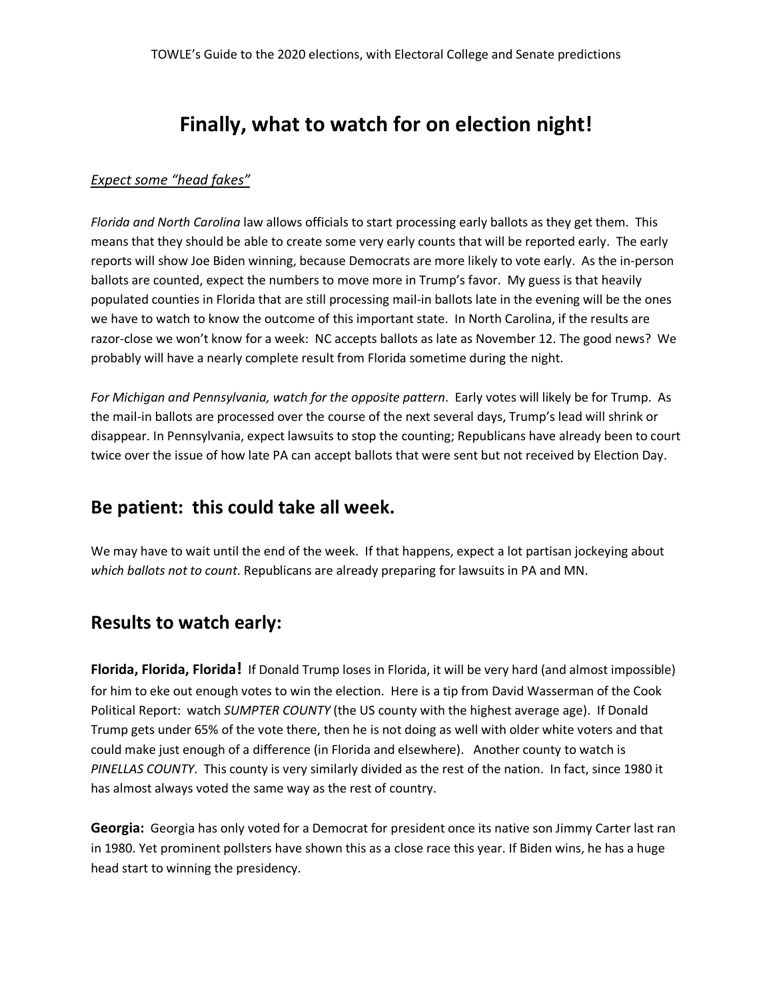# **Finally, what to watch for on election night!**

### *Expect some "head fakes"*

*Florida and North Carolina* law allows officials to start processing early ballots as they get them. This means that they should be able to create some very early counts that will be reported early. The early reports will show Joe Biden winning, because Democrats are more likely to vote early. As the in-person ballots are counted, expect the numbers to move more in Trump's favor. My guess is that heavily populated counties in Florida that are still processing mail-in ballots late in the evening will be the ones we have to watch to know the outcome of this important state. In North Carolina, if the results are razor-close we won't know for a week: NC accepts ballots as late as November 12. The good news? We probably will have a nearly complete result from Florida sometime during the night.

*For Michigan and Pennsylvania, watch for the opposite pattern*. Early votes will likely be for Trump. As the mail-in ballots are processed over the course of the next several days, Trump's lead will shrink or disappear. In Pennsylvania, expect lawsuits to stop the counting; Republicans have already been to court twice over the issue of how late PA can accept ballots that were sent but not received by Election Day.

### **Be patient: this could take all week.**

We may have to wait until the end of the week. If that happens, expect a lot partisan jockeying about *which ballots not to count*. Republicans are already preparing for lawsuits in PA and MN.

## **Results to watch early:**

**Florida, Florida, Florida!** If Donald Trump loses in Florida, it will be very hard (and almost impossible) for him to eke out enough votes to win the election. Here is a tip from David Wasserman of the Cook Political Report: watch *SUMPTER COUNTY* (the US county with the highest average age). If Donald Trump gets under 65% of the vote there, then he is not doing as well with older white voters and that could make just enough of a difference (in Florida and elsewhere). Another county to watch is *PINELLAS COUNTY*. This county is very similarly divided as the rest of the nation. In fact, since 1980 it has almost always voted the same way as the rest of country.

**Georgia:** Georgia has only voted for a Democrat for president once its native son Jimmy Carter last ran in 1980. Yet prominent pollsters have shown this as a close race this year. If Biden wins, he has a huge head start to winning the presidency.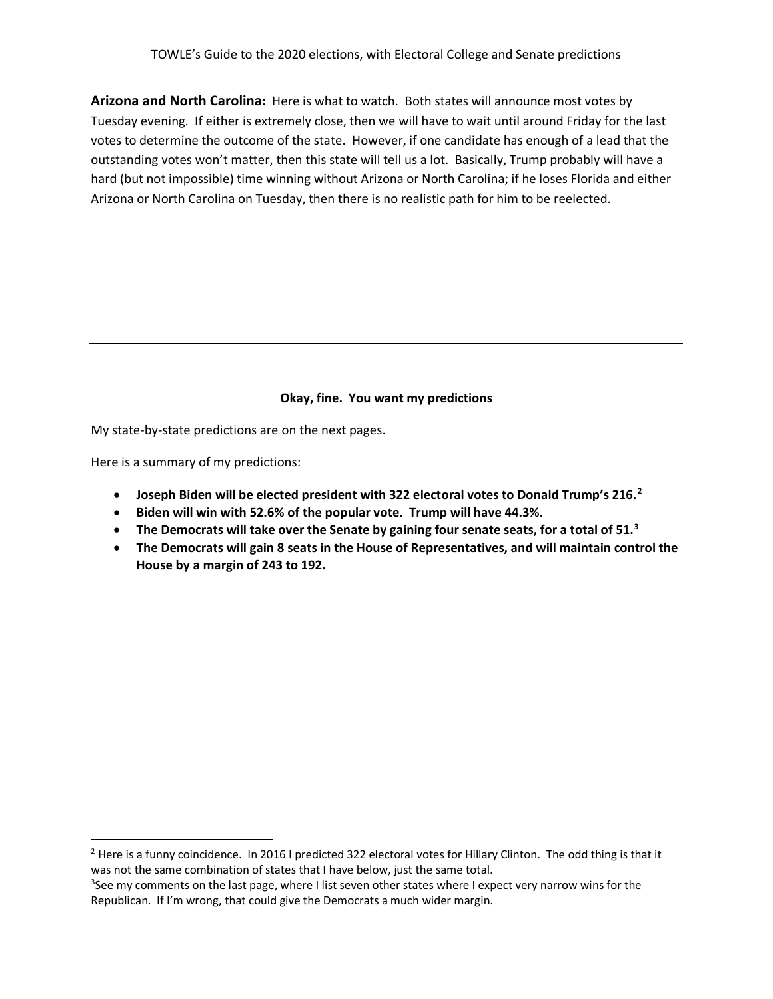**Arizona and North Carolina:** Here is what to watch. Both states will announce most votes by Tuesday evening. If either is extremely close, then we will have to wait until around Friday for the last votes to determine the outcome of the state. However, if one candidate has enough of a lead that the outstanding votes won't matter, then this state will tell us a lot. Basically, Trump probably will have a hard (but not impossible) time winning without Arizona or North Carolina; if he loses Florida and either Arizona or North Carolina on Tuesday, then there is no realistic path for him to be reelected.

### **Okay, fine. You want my predictions**

My state-by-state predictions are on the next pages.

Here is a summary of my predictions:

- **Joseph Biden will be elected president with 322 electoral votes to Donald Trump's 216.[2](#page-3-0)**
- **Biden will win with 52.6% of the popular vote. Trump will have 44.3%.**
- **The Democrats will take over the Senate by gaining four senate seats, for a total of 51. [3](#page-3-1)**
- **The Democrats will gain 8 seats in the House of Representatives, and will maintain control the House by a margin of 243 to 192.**

<span id="page-3-0"></span><sup>&</sup>lt;sup>2</sup> Here is a funny coincidence. In 2016 I predicted 322 electoral votes for Hillary Clinton. The odd thing is that it was not the same combination of states that I have below, just the same total.

<span id="page-3-1"></span><sup>&</sup>lt;sup>3</sup>See my comments on the last page, where I list seven other states where I expect very narrow wins for the Republican. If I'm wrong, that could give the Democrats a much wider margin.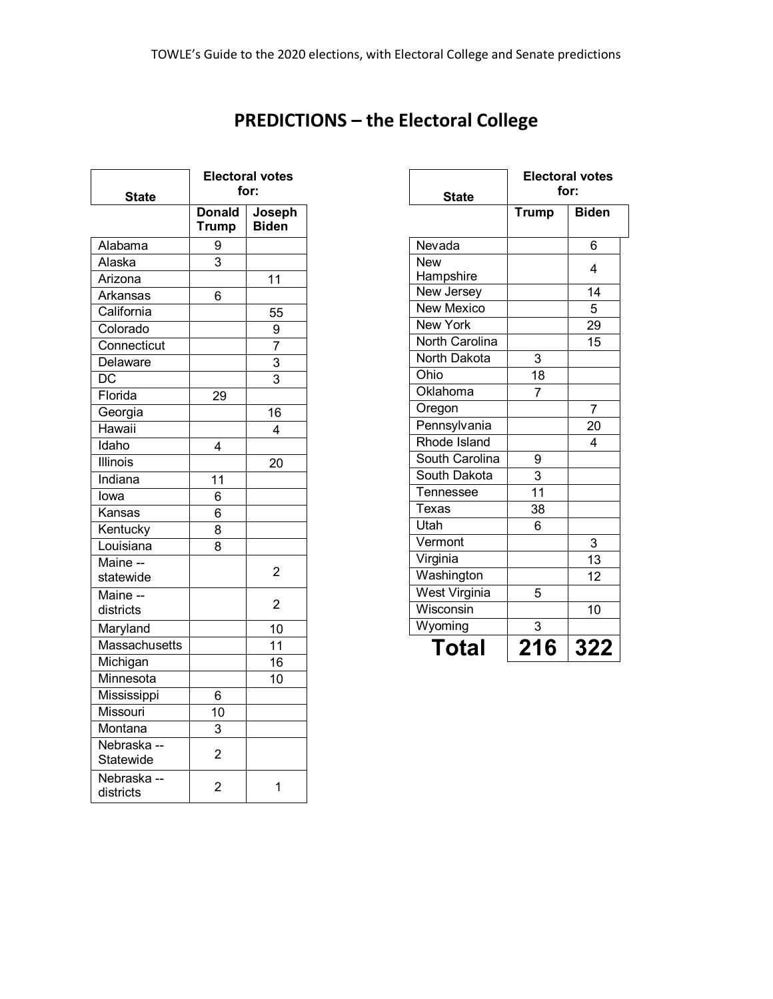**PREDICTIONS – the Electoral College**

| State                    | <b>Electoral votes</b><br>for: |                        |  |  |
|--------------------------|--------------------------------|------------------------|--|--|
|                          | <b>Donald</b><br>Trump         | Joseph<br><b>Biden</b> |  |  |
| Alabama                  | 9                              |                        |  |  |
| Alaska                   | 3                              |                        |  |  |
| Arizona                  |                                | 11                     |  |  |
| Arkansas                 | 6                              |                        |  |  |
| California               |                                | 55                     |  |  |
| Colorado                 |                                | 9                      |  |  |
| Connecticut              |                                | $\overline{7}$         |  |  |
| Delaware                 |                                | 3                      |  |  |
| $\overline{DC}$          |                                | 3                      |  |  |
| Florida                  | 29                             |                        |  |  |
| Georgia                  |                                | 16                     |  |  |
| Hawaii                   |                                | 4                      |  |  |
| Idaho                    | 4                              |                        |  |  |
| Illinois                 |                                | 20                     |  |  |
| Indiana                  | 11                             |                        |  |  |
| lowa                     | 6                              |                        |  |  |
| Kansas                   | 6                              |                        |  |  |
| Kentucky                 | 8                              |                        |  |  |
| Louisiana                | 8                              |                        |  |  |
| Maine --<br>statewide    |                                | $\overline{2}$         |  |  |
| Maine --<br>districts    |                                | $\overline{c}$         |  |  |
| Maryland                 |                                | 10                     |  |  |
| Massachusetts            |                                | 11                     |  |  |
| Michigan                 |                                | 16                     |  |  |
| Minnesota                |                                | 10                     |  |  |
| Mississippi              | 6                              |                        |  |  |
| Missouri                 | 10                             |                        |  |  |
| Montana                  | 3                              |                        |  |  |
| Nebraska --<br>Statewide | $\overline{2}$                 |                        |  |  |
| Nebraska --<br>districts | 2                              | 1                      |  |  |

| <b>State</b>      | <b>Electoral votes</b><br>for: |                 |  |  |
|-------------------|--------------------------------|-----------------|--|--|
|                   | <b>Trump</b>                   | <b>Biden</b>    |  |  |
| Nevada            |                                | 6               |  |  |
| New               |                                | 4               |  |  |
| Hampshire         |                                |                 |  |  |
| New Jersey        |                                | 14              |  |  |
| <b>New Mexico</b> |                                | 5               |  |  |
| <b>New York</b>   |                                | 29              |  |  |
| North Carolina    |                                | 15              |  |  |
| North Dakota      | 3                              |                 |  |  |
| Ohio              | 18                             |                 |  |  |
| Oklahoma          | 7                              |                 |  |  |
| Oregon            |                                | 7               |  |  |
| Pennsylvania      |                                | $\overline{20}$ |  |  |
| Rhode Island      |                                | 4               |  |  |
| South Carolina    | 9                              |                 |  |  |
| South Dakota      | $\ensuremath{\mathsf{3}}$      |                 |  |  |
| Tennessee         | $\overline{11}$                |                 |  |  |
| Texas             | 38                             |                 |  |  |
| Utah              | 6                              |                 |  |  |
| Vermont           |                                | $\overline{3}$  |  |  |
| Virginia          |                                | $\overline{13}$ |  |  |
| Washington        |                                | $\overline{12}$ |  |  |
| West Virginia     | 5                              |                 |  |  |
| Wisconsin         |                                | 10              |  |  |
| Wyoming           | 3                              |                 |  |  |
| <b>Total</b>      | 216                            | 322             |  |  |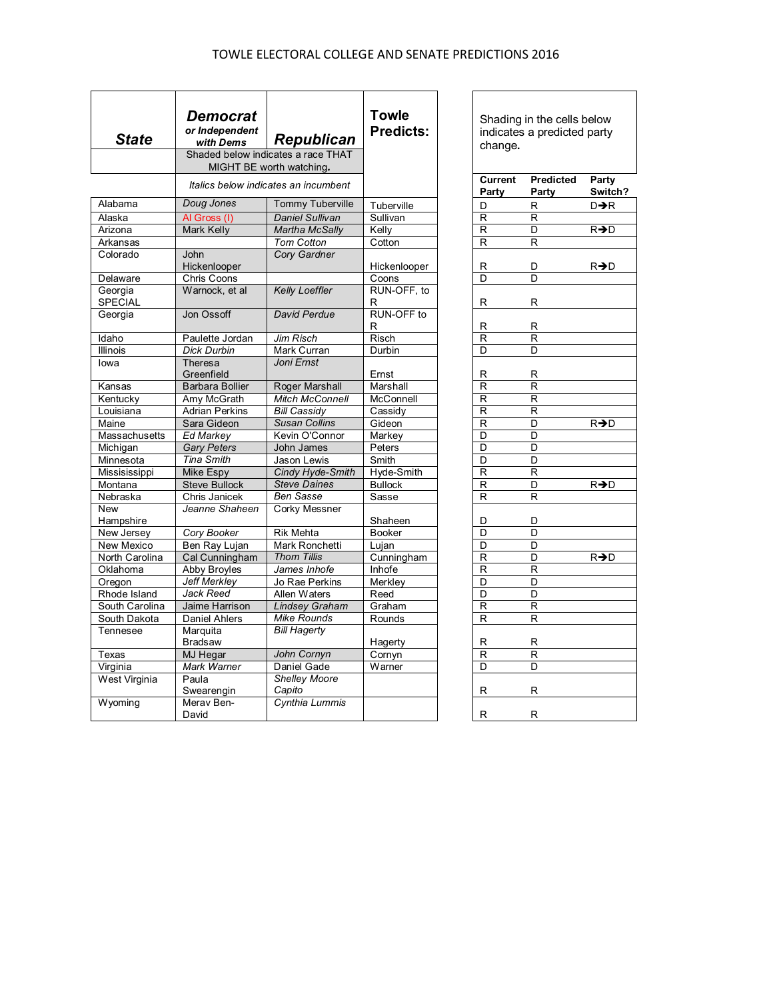### TOWLE ELECTORAL COLLEGE AND SENATE PREDICTIONS 2016

| <b>State</b>           | Democrat<br>or Independent<br><b>Republican</b><br>with Dems<br>Shaded below indicates a race THAT<br>MIGHT BE worth watching. |                                       | <b>Towle</b><br><b>Predicts:</b> | Shading in the cells below<br>indicates a predicted party<br>change.<br><b>Current</b><br>Predicted<br>Party |                         |                  |
|------------------------|--------------------------------------------------------------------------------------------------------------------------------|---------------------------------------|----------------------------------|--------------------------------------------------------------------------------------------------------------|-------------------------|------------------|
|                        |                                                                                                                                | Italics below indicates an incumbent  |                                  | Party                                                                                                        | Party                   | Switch?          |
| Alabama                | Doug Jones                                                                                                                     | <b>Tommy Tuberville</b>               | Tuberville                       | D                                                                                                            | R                       | D→R              |
| Alaska                 | Al Gross (I)                                                                                                                   | <b>Daniel Sullivan</b>                | Sullivan                         | R                                                                                                            | R                       |                  |
| Arizona                | <b>Mark Kelly</b>                                                                                                              | <b>Martha McSally</b>                 | Kelly                            | $\overline{\mathsf{R}}$                                                                                      | $\overline{\mathsf{D}}$ | $R\rightarrow D$ |
| Arkansas               |                                                                                                                                | <b>Tom Cotton</b>                     | Cotton                           | R                                                                                                            | R                       |                  |
| Colorado               | John                                                                                                                           | Cory Gardner                          |                                  |                                                                                                              |                         |                  |
|                        | Hickenlooper                                                                                                                   |                                       | Hickenlooper                     | R                                                                                                            | D                       | R→D              |
| Delaware               | Chris Coons                                                                                                                    |                                       | Coons                            | D                                                                                                            | D                       |                  |
| Georgia                | Warnock, et al                                                                                                                 | <b>Kelly Loeffler</b>                 | RUN-OFF, to                      |                                                                                                              |                         |                  |
| <b>SPECIAL</b>         |                                                                                                                                | <b>David Perdue</b>                   | R<br>RUN-OFF to                  | R                                                                                                            | R                       |                  |
| Georgia                | Jon Ossoff                                                                                                                     |                                       | R                                | R                                                                                                            | R                       |                  |
| Idaho                  | Paulette Jordan                                                                                                                | Jim Risch                             | Risch                            | $\overline{\mathsf{R}}$                                                                                      | $\overline{\mathsf{R}}$ |                  |
| Illinois               | <b>Dick Durbin</b>                                                                                                             | Mark Curran                           | Durbin                           | D                                                                                                            | D                       |                  |
| lowa                   | Theresa                                                                                                                        | Joni Ernst                            |                                  |                                                                                                              |                         |                  |
|                        | Greenfield                                                                                                                     |                                       | Ernst                            | R                                                                                                            | R                       |                  |
| Kansas                 | <b>Barbara Bollier</b>                                                                                                         | Roger Marshall                        | Marshall                         | R                                                                                                            | R                       |                  |
| Kentucky               | Amy McGrath                                                                                                                    | <b>Mitch McConnell</b>                | McConnell                        | R                                                                                                            | R                       |                  |
| Louisiana              | <b>Adrian Perkins</b>                                                                                                          | <b>Bill Cassidy</b>                   | Cassidy                          | R                                                                                                            | R                       |                  |
| Maine                  | Sara Gideon                                                                                                                    | <b>Susan Collins</b>                  | Gideon                           | R                                                                                                            | D                       | R→D              |
| Massachusetts          | <b>Ed Markey</b>                                                                                                               | Kevin O'Connor                        | Markey                           | D                                                                                                            | D                       |                  |
| Michigan               | <b>Gary Peters</b>                                                                                                             | John James                            | Peters                           | D                                                                                                            | D                       |                  |
| Minnesota              | <b>Tina Smith</b>                                                                                                              | Jason Lewis                           | Smith                            | D                                                                                                            | D                       |                  |
| Missisissippi          | Mike Espy                                                                                                                      | Cindy Hyde-Smith                      | Hyde-Smith                       | $\overline{\mathsf{R}}$                                                                                      | R                       |                  |
| Montana                | Steve Bullock                                                                                                                  | <b>Steve Daines</b>                   | <b>Bullock</b>                   | R                                                                                                            | D                       | R→D              |
| Nebraska               | Chris Janicek                                                                                                                  | <b>Ben Sasse</b>                      | Sasse                            | R                                                                                                            | R                       |                  |
| <b>New</b>             | Jeanne Shaheen                                                                                                                 | Corky Messner                         |                                  |                                                                                                              |                         |                  |
| Hampshire              |                                                                                                                                |                                       | Shaheen                          | D                                                                                                            | D                       |                  |
| New Jersey             | Cory Booker                                                                                                                    | <b>Rik Mehta</b>                      | <b>Booker</b>                    | D                                                                                                            | D                       |                  |
| New Mexico             | Ben Ray Lujan                                                                                                                  | Mark Ronchetti                        | Lujan                            | D                                                                                                            | D                       |                  |
| North Carolina         | Cal Cunningham                                                                                                                 | <b>Thom Tillis</b><br>James Inhofe    | Cunningham                       | R<br>$\overline{\mathsf{R}}$                                                                                 | D                       | R→D              |
| Oklahoma               | Abby Broyles                                                                                                                   |                                       | Inhofe                           | D                                                                                                            | R<br>D                  |                  |
| Oregon<br>Rhode Island | <b>Jeff Merkley</b><br>Jack Reed                                                                                               | Jo Rae Perkins                        | Merkley<br>Reed                  | D                                                                                                            | D                       |                  |
| South Carolina         | Jaime Harrison                                                                                                                 | Allen Waters<br><b>Lindsey Graham</b> | Graham                           | $\mathsf{R}$                                                                                                 | R                       |                  |
| South Dakota           | <b>Daniel Ahlers</b>                                                                                                           | Mike Rounds                           | Rounds                           | $\mathsf{R}$                                                                                                 | R                       |                  |
| Tennesee               | Marquita                                                                                                                       | <b>Bill Hagerty</b>                   |                                  |                                                                                                              |                         |                  |
|                        | <b>Bradsaw</b>                                                                                                                 |                                       | Hagerty                          | R                                                                                                            | R                       |                  |
| Texas                  | MJ Hegar                                                                                                                       | John Cornyn                           | Cornyn                           | $\overline{\mathsf{R}}$                                                                                      | R                       |                  |
| Virginia               | Mark Warner                                                                                                                    | Daniel Gade                           | Warner                           | $\overline{D}$                                                                                               | D                       |                  |
| West Virginia          | Paula                                                                                                                          | <b>Shelley Moore</b>                  |                                  |                                                                                                              |                         |                  |
|                        | Swearengin                                                                                                                     | Capito                                |                                  | R                                                                                                            | R                       |                  |
| Wyoming                | Merav Ben-<br>David                                                                                                            | Cynthia Lummis                        |                                  | R                                                                                                            | R                       |                  |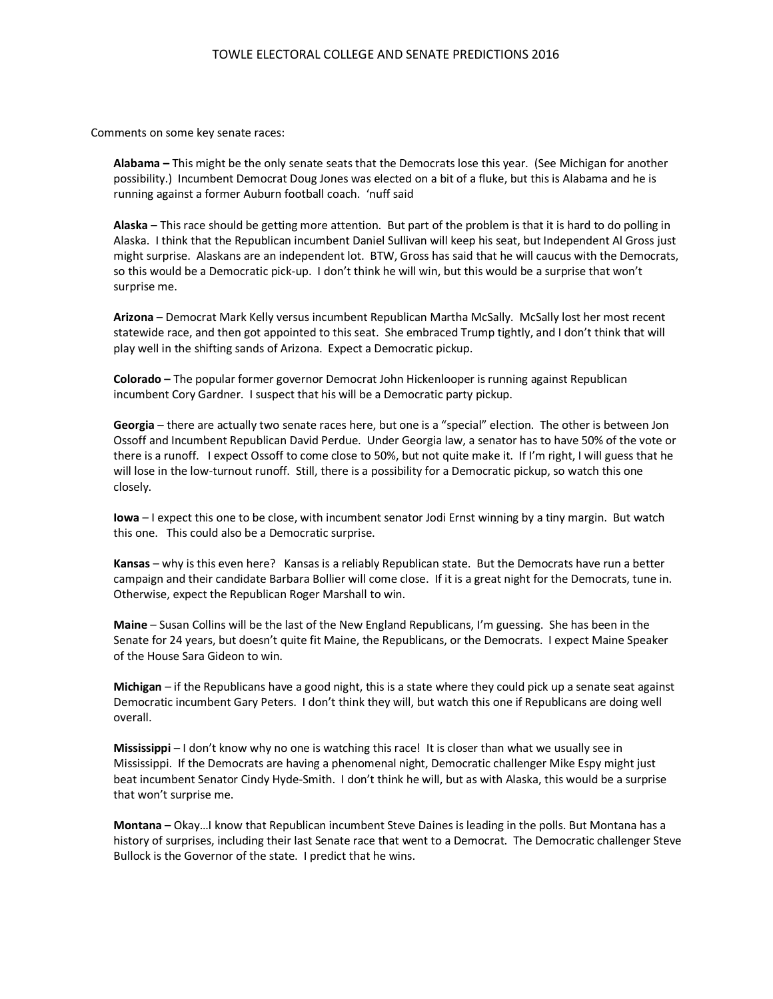Comments on some key senate races:

**Alabama –** This might be the only senate seats that the Democrats lose this year. (See Michigan for another possibility.) Incumbent Democrat Doug Jones was elected on a bit of a fluke, but this is Alabama and he is running against a former Auburn football coach. 'nuff said

**Alaska** – This race should be getting more attention. But part of the problem is that it is hard to do polling in Alaska. I think that the Republican incumbent Daniel Sullivan will keep his seat, but Independent Al Gross just might surprise. Alaskans are an independent lot. BTW, Gross has said that he will caucus with the Democrats, so this would be a Democratic pick-up. I don't think he will win, but this would be a surprise that won't surprise me.

**Arizona** – Democrat Mark Kelly versus incumbent Republican Martha McSally. McSally lost her most recent statewide race, and then got appointed to this seat. She embraced Trump tightly, and I don't think that will play well in the shifting sands of Arizona. Expect a Democratic pickup.

**Colorado –** The popular former governor Democrat John Hickenlooper is running against Republican incumbent Cory Gardner. I suspect that his will be a Democratic party pickup.

**Georgia** – there are actually two senate races here, but one is a "special" election. The other is between Jon Ossoff and Incumbent Republican David Perdue. Under Georgia law, a senator has to have 50% of the vote or there is a runoff. I expect Ossoff to come close to 50%, but not quite make it. If I'm right, I will guess that he will lose in the low-turnout runoff. Still, there is a possibility for a Democratic pickup, so watch this one closely.

**Iowa** – I expect this one to be close, with incumbent senator Jodi Ernst winning by a tiny margin. But watch this one. This could also be a Democratic surprise.

**Kansas** – why is this even here? Kansas is a reliably Republican state. But the Democrats have run a better campaign and their candidate Barbara Bollier will come close. If it is a great night for the Democrats, tune in. Otherwise, expect the Republican Roger Marshall to win.

**Maine** – Susan Collins will be the last of the New England Republicans, I'm guessing. She has been in the Senate for 24 years, but doesn't quite fit Maine, the Republicans, or the Democrats. I expect Maine Speaker of the House Sara Gideon to win.

**Michigan** – if the Republicans have a good night, this is a state where they could pick up a senate seat against Democratic incumbent Gary Peters. I don't think they will, but watch this one if Republicans are doing well overall.

**Mississippi** – I don't know why no one is watching this race! It is closer than what we usually see in Mississippi. If the Democrats are having a phenomenal night, Democratic challenger Mike Espy might just beat incumbent Senator Cindy Hyde-Smith. I don't think he will, but as with Alaska, this would be a surprise that won't surprise me.

**Montana** – Okay…I know that Republican incumbent Steve Daines is leading in the polls. But Montana has a history of surprises, including their last Senate race that went to a Democrat. The Democratic challenger Steve Bullock is the Governor of the state. I predict that he wins.